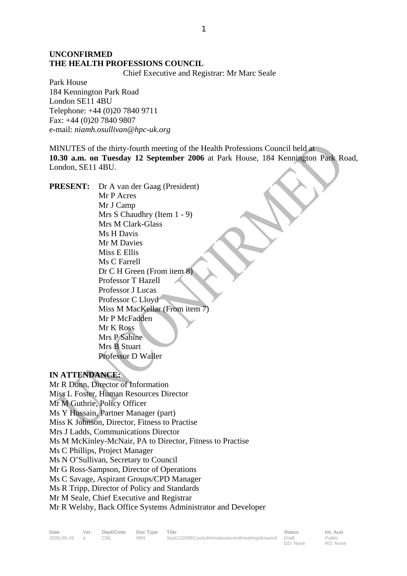## **UNCONFIRMED THE HEALTH PROFESSIONS COUNCIL**

Chief Executive and Registrar: Mr Marc Seale

Park House 184 Kennington Park Road London SE11 4BU Telephone: +44 (0)20 7840 9711 Fax: +44 (0)20 7840 9807 e-mail: *niamh.osullivan@hpc-uk.org*

MINUTES of the thirty-fourth meeting of the Health Professions Council held at **10.30 a.m. on Tuesday 12 September 2006** at Park House, 184 Kennington Park Road, London, SE11 4BU.

**PRESENT:** Dr A van der Gaag (President) Mr P Acres Mr J Camp Mrs S Chaudhry (Item 1 - 9) Mrs M Clark-Glass Ms H Davis Mr M Davies Miss E Ellis Ms C Farrell Dr C H Green (From item 8) Professor T Hazell Professor J Lucas Professor C Lloyd Miss M MacKellar (From item 7) Mr P McFadden Mr K Ross Mrs P Sabine Mrs B Stuart Professor D Waller

#### **IN ATTENDANCE:**

Mr R Dunn, Director of Information Miss L Foster, Human Resources Director Mr M Guthrie, Policy Officer Ms Y Hussain, Partner Manager (part) Miss K Johnson, Director, Fitness to Practise Mrs J Ladds, Communications Director Ms M McKinley-McNair, PA to Director, Fitness to Practise Ms C Phillips, Project Manager Ms N O'Sullivan, Secretary to Council Mr G Ross-Sampson, Director of Operations Ms C Savage, Aspirant Groups/CPD Manager Ms R Tripp, Director of Policy and Standards Mr M Seale, Chief Executive and Registrar Mr R Welsby, Back Office Systems Administrator and Developer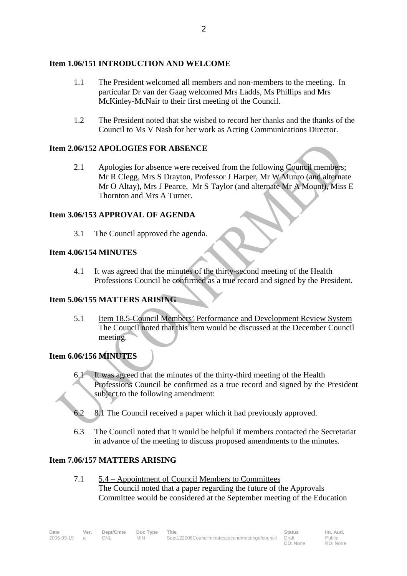#### **Item 1.06/151 INTRODUCTION AND WELCOME**

- 1.1 The President welcomed all members and non-members to the meeting. In particular Dr van der Gaag welcomed Mrs Ladds, Ms Phillips and Mrs McKinley-McNair to their first meeting of the Council.
- 1.2 The President noted that she wished to record her thanks and the thanks of the Council to Ms V Nash for her work as Acting Communications Director.

## **Item 2.06/152 APOLOGIES FOR ABSENCE**

2.1 Apologies for absence were received from the following Council members; Mr R Clegg, Mrs S Drayton, Professor J Harper, Mr W Munro (and alternate Mr O Altay), Mrs J Pearce, Mr S Taylor (and alternate Mr A Mount), Miss E Thornton and Mrs A Turner.

#### **Item 3.06/153 APPROVAL OF AGENDA**

3.1 The Council approved the agenda.

#### **Item 4.06/154 MINUTES**

 4.1 It was agreed that the minutes of the thirty-second meeting of the Health Professions Council be confirmed as a true record and signed by the President.

#### **Item 5.06/155 MATTERS ARISING**

 5.1 Item 18.5-Council Members' Performance and Development Review System The Council noted that this item would be discussed at the December Council meeting.

# **Item 6.06/156 MINUTES**

- It was agreed that the minutes of the thirty-third meeting of the Health Professions Council be confirmed as a true record and signed by the President subject to the following amendment:
- 6.2 8.1 The Council received a paper which it had previously approved.
- 6.3 The Council noted that it would be helpful if members contacted the Secretariat in advance of the meeting to discuss proposed amendments to the minutes.

#### **Item 7.06/157 MATTERS ARISING**

7.1 5.4 – Appointment of Council Members to Committees The Council noted that a paper regarding the future of the Approvals Committee would be considered at the September meeting of the Education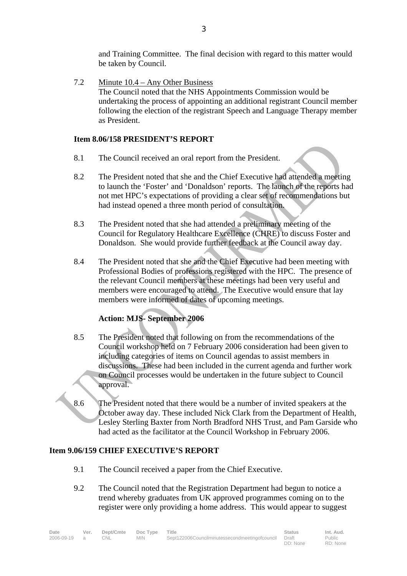and Training Committee. The final decision with regard to this matter would be taken by Council.

7.2 Minute 10.4 – Any Other Business The Council noted that the NHS Appointments Commission would be undertaking the process of appointing an additional registrant Council member following the election of the registrant Speech and Language Therapy member as President.

#### **Item 8.06/158 PRESIDENT'S REPORT**

- 8.1 The Council received an oral report from the President.
- 8.2 The President noted that she and the Chief Executive had attended a meeting to launch the 'Foster' and 'Donaldson' reports. The launch of the reports had not met HPC's expectations of providing a clear set of recommendations but had instead opened a three month period of consultation.
- 8.3 The President noted that she had attended a preliminary meeting of the Council for Regulatory Healthcare Excellence (CHRE) to discuss Foster and Donaldson. She would provide further feedback at the Council away day.
- 8.4 The President noted that she and the Chief Executive had been meeting with Professional Bodies of professions registered with the HPC. The presence of the relevant Council members at these meetings had been very useful and members were encouraged to attend. The Executive would ensure that lay members were informed of dates of upcoming meetings.

# **Action: MJS- September 2006**

- 8.5 The President noted that following on from the recommendations of the Council workshop held on 7 February 2006 consideration had been given to including categories of items on Council agendas to assist members in discussions. These had been included in the current agenda and further work on Council processes would be undertaken in the future subject to Council approval.
- 8.6 The President noted that there would be a number of invited speakers at the October away day. These included Nick Clark from the Department of Health, Lesley Sterling Baxter from North Bradford NHS Trust, and Pam Garside who had acted as the facilitator at the Council Workshop in February 2006.

#### **Item 9.06/159 CHIEF EXECUTIVE'S REPORT**

- 9.1 The Council received a paper from the Chief Executive.
- 9.2 The Council noted that the Registration Department had begun to notice a trend whereby graduates from UK approved programmes coming on to the register were only providing a home address. This would appear to suggest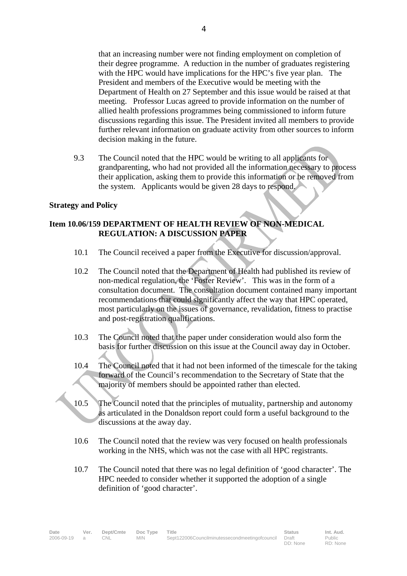that an increasing number were not finding employment on completion of their degree programme. A reduction in the number of graduates registering with the HPC would have implications for the HPC's five year plan. The President and members of the Executive would be meeting with the Department of Health on 27 September and this issue would be raised at that meeting. Professor Lucas agreed to provide information on the number of allied health professions programmes being commissioned to inform future discussions regarding this issue. The President invited all members to provide further relevant information on graduate activity from other sources to inform decision making in the future.

9.3 The Council noted that the HPC would be writing to all applicants for grandparenting, who had not provided all the information necessary to process their application, asking them to provide this information or be removed from the system. Applicants would be given 28 days to respond.

#### **Strategy and Policy**

## **Item 10.06/159 DEPARTMENT OF HEALTH REVIEW OF NON-MEDICAL REGULATION: A DISCUSSION PAPER**

- 10.1 The Council received a paper from the Executive for discussion/approval.
- 10.2 The Council noted that the Department of Health had published its review of non-medical regulation, the 'Foster Review'. This was in the form of a consultation document. The consultation document contained many important recommendations that could significantly affect the way that HPC operated, most particularly on the issues of governance, revalidation, fitness to practise and post-registration qualifications.
- 10.3 The Council noted that the paper under consideration would also form the basis for further discussion on this issue at the Council away day in October.
- 10.4 The Council noted that it had not been informed of the timescale for the taking forward of the Council's recommendation to the Secretary of State that the majority of members should be appointed rather than elected.
- 10.5 The Council noted that the principles of mutuality, partnership and autonomy as articulated in the Donaldson report could form a useful background to the discussions at the away day.
- 10.6 The Council noted that the review was very focused on health professionals working in the NHS, which was not the case with all HPC registrants.
- 10.7 The Council noted that there was no legal definition of 'good character'. The HPC needed to consider whether it supported the adoption of a single definition of 'good character'.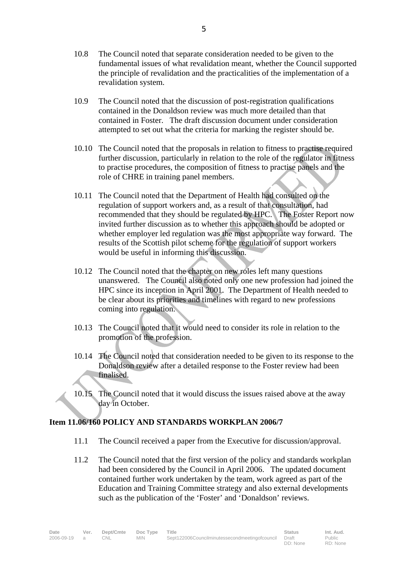- 10.8 The Council noted that separate consideration needed to be given to the fundamental issues of what revalidation meant, whether the Council supported the principle of revalidation and the practicalities of the implementation of a revalidation system.
- 10.9 The Council noted that the discussion of post-registration qualifications contained in the Donaldson review was much more detailed than that contained in Foster. The draft discussion document under consideration attempted to set out what the criteria for marking the register should be.
- 10.10 The Council noted that the proposals in relation to fitness to practise required further discussion, particularly in relation to the role of the regulator in fitness to practise procedures, the composition of fitness to practise panels and the role of CHRE in training panel members.
- 10.11 The Council noted that the Department of Health had consulted on the regulation of support workers and, as a result of that consultation, had recommended that they should be regulated by HPC. The Foster Report now invited further discussion as to whether this approach should be adopted or whether employer led regulation was the most appropriate way forward. The results of the Scottish pilot scheme for the regulation of support workers would be useful in informing this discussion.
- 10.12 The Council noted that the chapter on new roles left many questions unanswered. The Council also noted only one new profession had joined the HPC since its inception in April 2001. The Department of Health needed to be clear about its priorities and timelines with regard to new professions coming into regulation.
- 10.13 The Council noted that it would need to consider its role in relation to the promotion of the profession.
- 10.14 The Council noted that consideration needed to be given to its response to the Donaldson review after a detailed response to the Foster review had been finalised.
- 10.15 The Council noted that it would discuss the issues raised above at the away day in October.

#### **Item 11.06/160 POLICY AND STANDARDS WORKPLAN 2006/7**

- 11.1 The Council received a paper from the Executive for discussion/approval.
- 11.2 The Council noted that the first version of the policy and standards workplan had been considered by the Council in April 2006. The updated document contained further work undertaken by the team, work agreed as part of the Education and Training Committee strategy and also external developments such as the publication of the 'Foster' and 'Donaldson' reviews.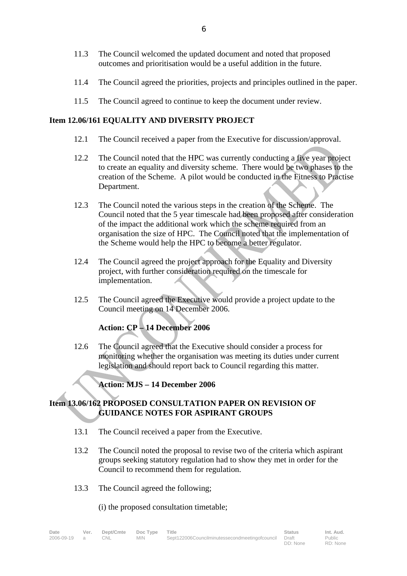- 11.3 The Council welcomed the updated document and noted that proposed outcomes and prioritisation would be a useful addition in the future.
- 11.4 The Council agreed the priorities, projects and principles outlined in the paper.
- 11.5 The Council agreed to continue to keep the document under review.

#### **Item 12.06/161 EQUALITY AND DIVERSITY PROJECT**

- 12.1 The Council received a paper from the Executive for discussion/approval.
- 12.2 The Council noted that the HPC was currently conducting a five year project to create an equality and diversity scheme. There would be two phases to the creation of the Scheme. A pilot would be conducted in the Fitness to Practise Department.
- 12.3 The Council noted the various steps in the creation of the Scheme. The Council noted that the 5 year timescale had been proposed after consideration of the impact the additional work which the scheme required from an organisation the size of HPC. The Council noted that the implementation of the Scheme would help the HPC to become a better regulator.
- 12.4 The Council agreed the project approach for the Equality and Diversity project, with further consideration required on the timescale for implementation.
- 12.5 The Council agreed the Executive would provide a project update to the Council meeting on 14 December 2006.

# **Action: CP – 14 December 2006**

12.6 The Council agreed that the Executive should consider a process for monitoring whether the organisation was meeting its duties under current legislation and should report back to Council regarding this matter.

# **Action: MJS – 14 December 2006**

#### **Item 13.06/162 PROPOSED CONSULTATION PAPER ON REVISION OF GUIDANCE NOTES FOR ASPIRANT GROUPS**

- 13.1 The Council received a paper from the Executive.
- 13.2 The Council noted the proposal to revise two of the criteria which aspirant groups seeking statutory regulation had to show they met in order for the Council to recommend them for regulation.
- 13.3 The Council agreed the following;

(i) the proposed consultation timetable;

| Date         | Ver. | Dept/Cmte Doc Type Title |        |                                                      | <b>Status</b> | Int. Aud. |
|--------------|------|--------------------------|--------|------------------------------------------------------|---------------|-----------|
| 2006-09-19 a |      | CNL                      | MIN 11 | Sept122006Councilminutessecondmeetingofcouncil Draft |               | Public    |
|              |      |                          |        |                                                      | DD: None      | RD: None  |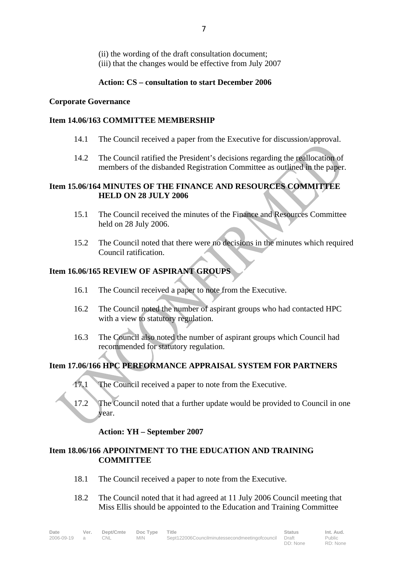(ii) the wording of the draft consultation document; (iii) that the changes would be effective from July 2007

## **Action: CS – consultation to start December 2006**

## **Corporate Governance**

## **Item 14.06/163 COMMITTEE MEMBERSHIP**

- 14.1 The Council received a paper from the Executive for discussion/approval.
- 14.2 The Council ratified the President's decisions regarding the reallocation of members of the disbanded Registration Committee as outlined in the paper.

## **Item 15.06/164 MINUTES OF THE FINANCE AND RESOURCES COMMITTEE HELD ON 28 JULY 2006**

- 15.1 The Council received the minutes of the Finance and Resources Committee held on 28 July 2006.
- 15.2 The Council noted that there were no decisions in the minutes which required Council ratification.

# **Item 16.06/165 REVIEW OF ASPIRANT GROUPS**

- 16.1 The Council received a paper to note from the Executive.
- 16.2 The Council noted the number of aspirant groups who had contacted HPC with a view to statutory regulation.
- 16.3 The Council also noted the number of aspirant groups which Council had recommended for statutory regulation.

# **Item 17.06/166 HPC PERFORMANCE APPRAISAL SYSTEM FOR PARTNERS**

- 17.1 The Council received a paper to note from the Executive.
- 17.2 The Council noted that a further update would be provided to Council in one year.

# **Action: YH – September 2007**

#### **Item 18.06/166 APPOINTMENT TO THE EDUCATION AND TRAINING COMMITTEE**

- 18.1 The Council received a paper to note from the Executive.
- 18.2 The Council noted that it had agreed at 11 July 2006 Council meeting that Miss Ellis should be appointed to the Education and Training Committee

| Date         | Ver. |     | Dept/Cmte Doc Type Title |                                                      | <b>Status</b> | Int. Aud. |
|--------------|------|-----|--------------------------|------------------------------------------------------|---------------|-----------|
| 2006-09-19 a |      | CNL | MIN.                     | Sept122006Councilminutessecondmeetingofcouncil Draft |               | Public    |
|              |      |     |                          |                                                      | DD: None      | RD: None  |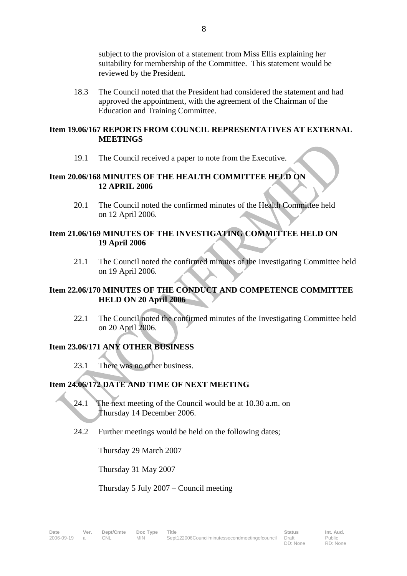subject to the provision of a statement from Miss Ellis explaining her suitability for membership of the Committee. This statement would be reviewed by the President.

18.3 The Council noted that the President had considered the statement and had approved the appointment, with the agreement of the Chairman of the Education and Training Committee.

#### **Item 19.06/167 REPORTS FROM COUNCIL REPRESENTATIVES AT EXTERNAL MEETINGS**

19.1 The Council received a paper to note from the Executive.

## **Item 20.06/168 MINUTES OF THE HEALTH COMMITTEE HELD ON 12 APRIL 2006**

20.1 The Council noted the confirmed minutes of the Health Committee held on 12 April 2006.

#### **Item 21.06/169 MINUTES OF THE INVESTIGATING COMMITTEE HELD ON 19 April 2006**

21.1 The Council noted the confirmed minutes of the Investigating Committee held on 19 April 2006.

## **Item 22.06/170 MINUTES OF THE CONDUCT AND COMPETENCE COMMITTEE HELD ON 20 April 2006**

22.1 The Council noted the confirmed minutes of the Investigating Committee held on 20 April 2006.

# **Item 23.06/171 ANY OTHER BUSINESS**

23.1 There was no other business.

# **Item 24.06/172 DATE AND TIME OF NEXT MEETING**

- 24.1 The next meeting of the Council would be at 10.30 a.m. on Thursday 14 December 2006.
- 24.2 Further meetings would be held on the following dates;

Thursday 29 March 2007

Thursday 31 May 2007

Thursday 5 July 2007 – Council meeting